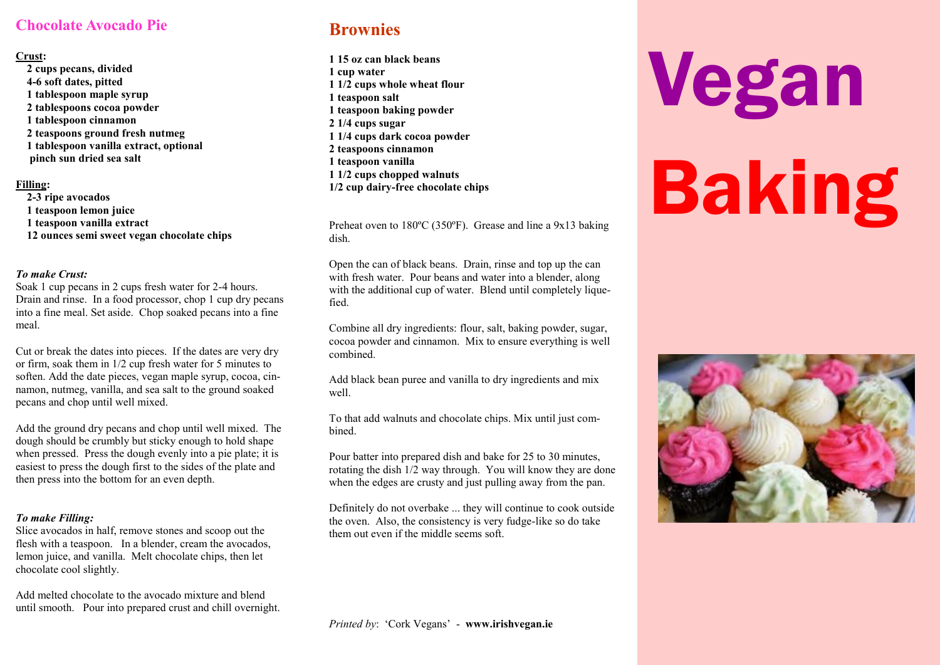## **Chocolate Avocado Pie**

#### **Crust:**

**2 cups pecans, divided 4-6 soft dates, pitted 1 tablespoon maple syrup 2 tablespoons cocoa powder 1 tablespoon cinnamon 2 teaspoons ground fresh nutmeg 1 tablespoon vanilla extract, optional pinch sun dried sea salt**

#### **Filling:**

**2-3 ripe avocados 1 teaspoon lemon juice 1 teaspoon vanilla extract 12 ounces semi sweet vegan chocolate chips**

#### *To make Crust:*

Soak 1 cup pecans in 2 cups fresh water for 2-4 hours. Drain and rinse. In a food processor, chop 1 cup dry pecans into a fine meal. Set aside. Chop soaked pecans into a fine meal.

Cut or break the dates into pieces. If the dates are very dry or firm, soak them in 1/2 cup fresh water for 5 minutes to soften. Add the date pieces, vegan maple syrup, cocoa, cinnamon, nutmeg, vanilla, and sea salt to the ground soaked pecans and chop until well mixed.

Add the ground dry pecans and chop until well mixed. The dough should be crumbly but sticky enough to hold shape when pressed. Press the dough evenly into a pie plate; it is easiest to press the dough first to the sides of the plate and then press into the bottom for an even depth.

### *To make Filling:*

Slice avocados in half, remove stones and scoop out the flesh with a teaspoon. In a blender, cream the avocados, lemon juice, and vanilla. Melt chocolate chips, then let chocolate cool slightly.

Add melted chocolate to the avocado mixture and blend until smooth. Pour into prepared crust and chill overnight.

# **Brownies**

**1 15 oz can black beans 1 cup water 1 1/2 cups whole wheat flour 1 teaspoon salt 1 teaspoon baking powder 2 1/4 cups sugar 1 1/4 cups dark cocoa powder 2 teaspoons cinnamon 1 teaspoon vanilla 1 1/2 cups chopped walnuts 1/2 cup dairy-free chocolate chips** 

Preheat oven to 180ºC (350ºF). Grease and line a 9x13 baking dish.

Open the can of black beans. Drain, rinse and top up the can with fresh water. Pour beans and water into a blender, along with the additional cup of water. Blend until completely liquefied.

Combine all dry ingredients: flour, salt, baking powder, sugar, cocoa powder and cinnamon. Mix to ensure everything is well combined.

Add black bean puree and vanilla to dry ingredients and mix well.

To that add walnuts and chocolate chips. Mix until just combined.

Pour batter into prepared dish and bake for 25 to 30 minutes, rotating the dish 1/2 way through. You will know they are done when the edges are crusty and just pulling away from the pan.

Definitely do not overbake ... they will continue to cook outside the oven. Also, the consistency is very fudge-like so do take them out even if the middle seems soft.

# Vegan Baking